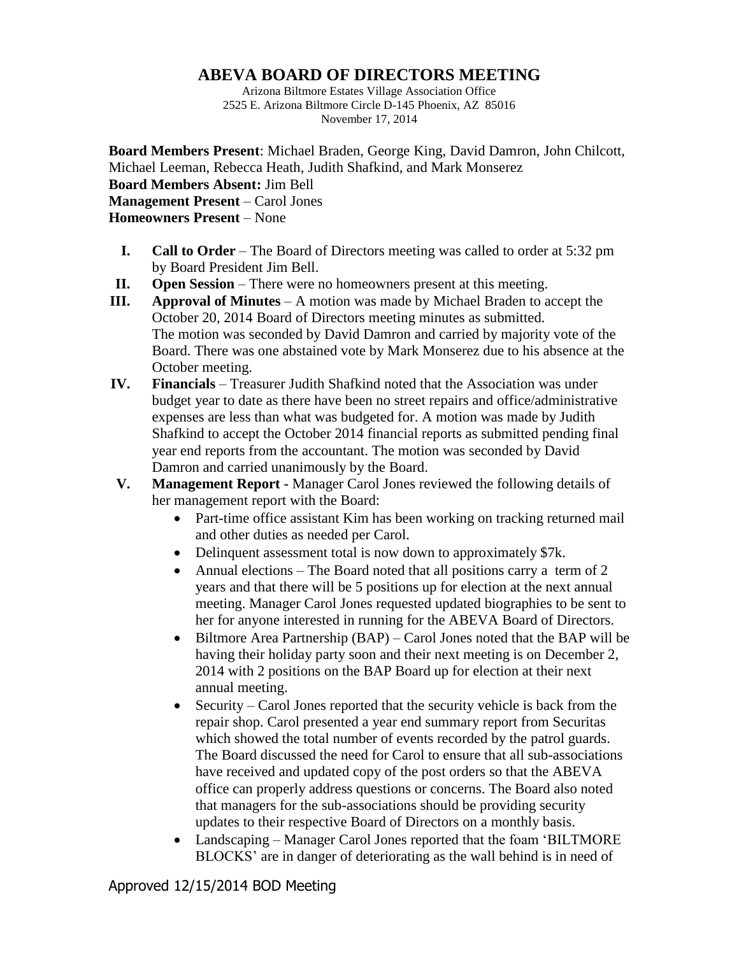## **ABEVA BOARD OF DIRECTORS MEETING**

Arizona Biltmore Estates Village Association Office 2525 E. Arizona Biltmore Circle D-145 Phoenix, AZ 85016 November 17, 2014

**Board Members Present**: Michael Braden, George King, David Damron, John Chilcott, Michael Leeman, Rebecca Heath, Judith Shafkind, and Mark Monserez **Board Members Absent:** Jim Bell **Management Present** – Carol Jones **Homeowners Present** – None

- **I. Call to Order** The Board of Directors meeting was called to order at 5:32 pm by Board President Jim Bell.
- **II. Open Session** There were no homeowners present at this meeting.
- **III. Approval of Minutes** A motion was made by Michael Braden to accept the October 20, 2014 Board of Directors meeting minutes as submitted. The motion was seconded by David Damron and carried by majority vote of the Board. There was one abstained vote by Mark Monserez due to his absence at the October meeting.
- **IV. Financials** Treasurer Judith Shafkind noted that the Association was under budget year to date as there have been no street repairs and office/administrative expenses are less than what was budgeted for. A motion was made by Judith Shafkind to accept the October 2014 financial reports as submitted pending final year end reports from the accountant. The motion was seconded by David Damron and carried unanimously by the Board.
- **V. Management Report -** Manager Carol Jones reviewed the following details of her management report with the Board:
	- Part-time office assistant Kim has been working on tracking returned mail and other duties as needed per Carol.
	- Delinquent assessment total is now down to approximately \$7k.
	- Annual elections The Board noted that all positions carry a term of 2 years and that there will be 5 positions up for election at the next annual meeting. Manager Carol Jones requested updated biographies to be sent to her for anyone interested in running for the ABEVA Board of Directors.
	- $\bullet$  Biltmore Area Partnership (BAP) Carol Jones noted that the BAP will be having their holiday party soon and their next meeting is on December 2, 2014 with 2 positions on the BAP Board up for election at their next annual meeting.
	- Security Carol Jones reported that the security vehicle is back from the repair shop. Carol presented a year end summary report from Securitas which showed the total number of events recorded by the patrol guards. The Board discussed the need for Carol to ensure that all sub-associations have received and updated copy of the post orders so that the ABEVA office can properly address questions or concerns. The Board also noted that managers for the sub-associations should be providing security updates to their respective Board of Directors on a monthly basis.
	- Landscaping Manager Carol Jones reported that the foam 'BILTMORE' BLOCKS' are in danger of deteriorating as the wall behind is in need of